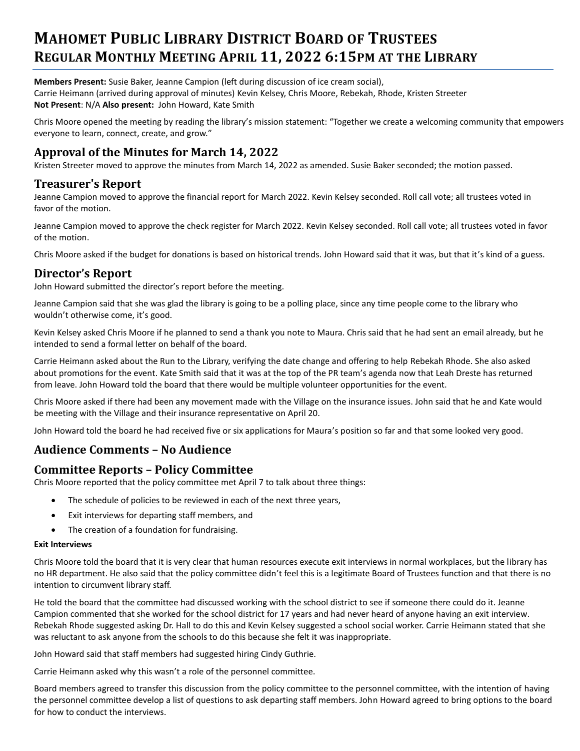# **MAHOMET PUBLIC LIBRARY DISTRICT BOARD OF TRUSTEES REGULAR MONTHLY MEETING APRIL 11, 2022 6:15PM AT THE LIBRARY**

**Members Present:** Susie Baker, Jeanne Campion (left during discussion of ice cream social), Carrie Heimann (arrived during approval of minutes) Kevin Kelsey, Chris Moore, Rebekah, Rhode, Kristen Streeter **Not Present**: N/A **Also present:** John Howard, Kate Smith

Chris Moore opened the meeting by reading the library's mission statement: "Together we create a welcoming community that empowers everyone to learn, connect, create, and grow."

# **Approval of the Minutes for March 14, 2022**

Kristen Streeter moved to approve the minutes from March 14, 2022 as amended. Susie Baker seconded; the motion passed.

# **Treasurer's Report**

Jeanne Campion moved to approve the financial report for March 2022. Kevin Kelsey seconded. Roll call vote; all trustees voted in favor of the motion.

Jeanne Campion moved to approve the check register for March 2022. Kevin Kelsey seconded. Roll call vote; all trustees voted in favor of the motion.

Chris Moore asked if the budget for donations is based on historical trends. John Howard said that it was, but that it's kind of a guess.

# **Director's Report**

John Howard submitted the director's report before the meeting.

Jeanne Campion said that she was glad the library is going to be a polling place, since any time people come to the library who wouldn't otherwise come, it's good.

Kevin Kelsey asked Chris Moore if he planned to send a thank you note to Maura. Chris said that he had sent an email already, but he intended to send a formal letter on behalf of the board.

Carrie Heimann asked about the Run to the Library, verifying the date change and offering to help Rebekah Rhode. She also asked about promotions for the event. Kate Smith said that it was at the top of the PR team's agenda now that Leah Dreste has returned from leave. John Howard told the board that there would be multiple volunteer opportunities for the event.

Chris Moore asked if there had been any movement made with the Village on the insurance issues. John said that he and Kate would be meeting with the Village and their insurance representative on April 20.

John Howard told the board he had received five or six applications for Maura's position so far and that some looked very good.

# **Audience Comments – No Audience**

# **Committee Reports – Policy Committee**

Chris Moore reported that the policy committee met April 7 to talk about three things:

- The schedule of policies to be reviewed in each of the next three years,
- Exit interviews for departing staff members, and
- The creation of a foundation for fundraising.

#### **Exit Interviews**

Chris Moore told the board that it is very clear that human resources execute exit interviews in normal workplaces, but the library has no HR department. He also said that the policy committee didn't feel this is a legitimate Board of Trustees function and that there is no intention to circumvent library staff.

He told the board that the committee had discussed working with the school district to see if someone there could do it. Jeanne Campion commented that she worked for the school district for 17 years and had never heard of anyone having an exit interview. Rebekah Rhode suggested asking Dr. Hall to do this and Kevin Kelsey suggested a school social worker. Carrie Heimann stated that she was reluctant to ask anyone from the schools to do this because she felt it was inappropriate.

John Howard said that staff members had suggested hiring Cindy Guthrie.

Carrie Heimann asked why this wasn't a role of the personnel committee.

Board members agreed to transfer this discussion from the policy committee to the personnel committee, with the intention of having the personnel committee develop a list of questions to ask departing staff members. John Howard agreed to bring options to the board for how to conduct the interviews.